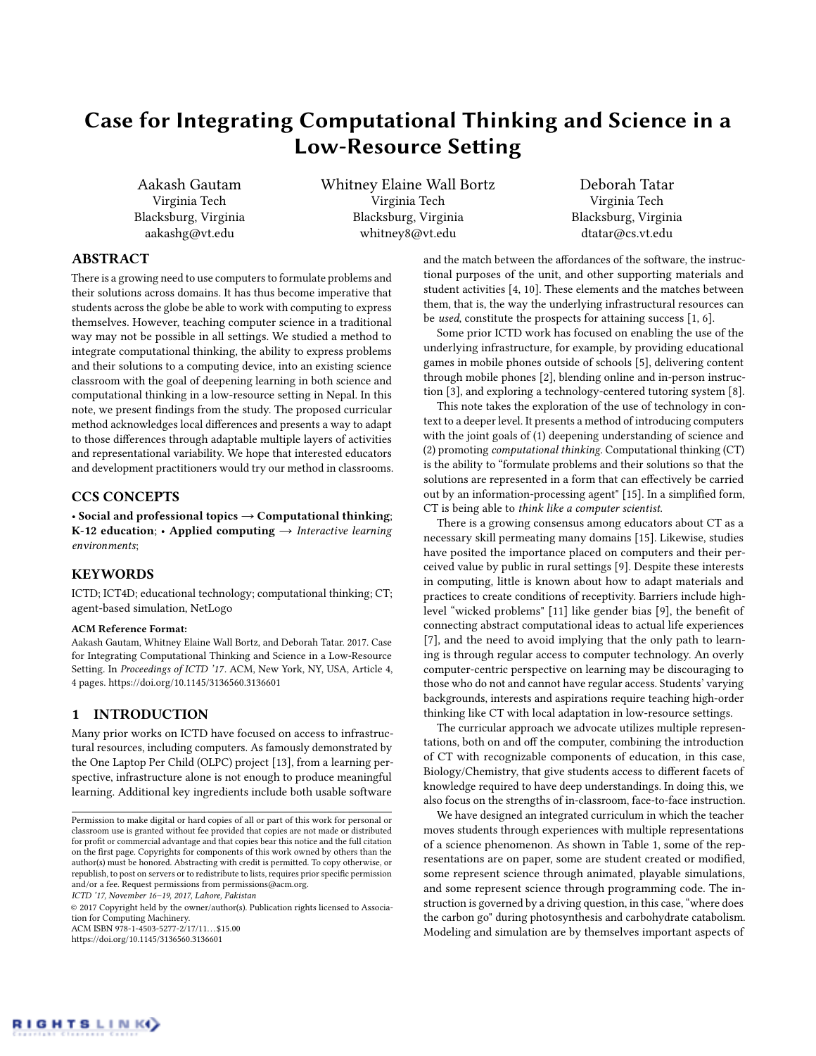# Case for Integrating Computational Thinking and Science in a Low-Resource Setting

Aakash Gautam Virginia Tech Blacksburg, Virginia aakashg@vt.edu

Whitney Elaine Wall Bortz Virginia Tech Blacksburg, Virginia whitney8@vt.edu

Deborah Tatar Virginia Tech Blacksburg, Virginia dtatar@cs.vt.edu

## ABSTRACT

There is a growing need to use computers to formulate problems and their solutions across domains. It has thus become imperative that students across the globe be able to work with computing to express themselves. However, teaching computer science in a traditional way may not be possible in all settings. We studied a method to integrate computational thinking, the ability to express problems and their solutions to a computing device, into an existing science classroom with the goal of deepening learning in both science and computational thinking in a low-resource setting in Nepal. In this note, we present findings from the study. The proposed curricular method acknowledges local differences and presents a way to adapt to those differences through adaptable multiple layers of activities and representational variability. We hope that interested educators and development practitioners would try our method in classrooms.

# CCS CONCEPTS

• Social and professional topics  $\rightarrow$  Computational thinking; K-12 education; • Applied computing  $\rightarrow$  Interactive learning environments;

# **KEYWORDS**

ICTD; ICT4D; educational technology; computational thinking; CT; agent-based simulation, NetLogo

#### ACM Reference Format:

Aakash Gautam, Whitney Elaine Wall Bortz, and Deborah Tatar. 2017. Case for Integrating Computational Thinking and Science in a Low-Resource Setting. In Proceedings of ICTD '17. ACM, New York, NY, USA, Article 4, [4](#page-3-0) pages.<https://doi.org/10.1145/3136560.3136601>

## 1 INTRODUCTION

Many prior works on ICTD have focused on access to infrastructural resources, including computers. As famously demonstrated by the One Laptop Per Child (OLPC) project [\[13\]](#page-3-1), from a learning perspective, infrastructure alone is not enough to produce meaningful learning. Additional key ingredients include both usable software

ICTD '17, November 16–19, 2017, Lahore, Pakistan

© 2017 Copyright held by the owner/author(s). Publication rights licensed to Association for Computing Machinery.

ACM ISBN 978-1-4503-5277-2/17/11... \$15.00 <https://doi.org/10.1145/3136560.3136601>

and the match between the affordances of the software, the instructional purposes of the unit, and other supporting materials and student activities [\[4,](#page-3-2) [10\]](#page-3-3). These elements and the matches between them, that is, the way the underlying infrastructural resources can be used, constitute the prospects for attaining success [\[1,](#page-3-4) [6\]](#page-3-5).

Some prior ICTD work has focused on enabling the use of the underlying infrastructure, for example, by providing educational games in mobile phones outside of schools [\[5\]](#page-3-6), delivering content through mobile phones [\[2\]](#page-3-7), blending online and in-person instruction [\[3\]](#page-3-8), and exploring a technology-centered tutoring system [\[8\]](#page-3-9).

This note takes the exploration of the use of technology in context to a deeper level. It presents a method of introducing computers with the joint goals of (1) deepening understanding of science and (2) promoting computational thinking. Computational thinking (CT) is the ability to "formulate problems and their solutions so that the solutions are represented in a form that can effectively be carried out by an information-processing agent" [\[15\]](#page-3-10). In a simplified form, CT is being able to think like a computer scientist.

There is a growing consensus among educators about CT as a necessary skill permeating many domains [\[15\]](#page-3-10). Likewise, studies have posited the importance placed on computers and their perceived value by public in rural settings [\[9\]](#page-3-11). Despite these interests in computing, little is known about how to adapt materials and practices to create conditions of receptivity. Barriers include highlevel "wicked problems" [\[11\]](#page-3-12) like gender bias [\[9\]](#page-3-11), the benefit of connecting abstract computational ideas to actual life experiences [\[7\]](#page-3-13), and the need to avoid implying that the only path to learning is through regular access to computer technology. An overly computer-centric perspective on learning may be discouraging to those who do not and cannot have regular access. Students' varying backgrounds, interests and aspirations require teaching high-order thinking like CT with local adaptation in low-resource settings.

The curricular approach we advocate utilizes multiple representations, both on and off the computer, combining the introduction of CT with recognizable components of education, in this case, Biology/Chemistry, that give students access to different facets of knowledge required to have deep understandings. In doing this, we also focus on the strengths of in-classroom, face-to-face instruction.

We have designed an integrated curriculum in which the teacher moves students through experiences with multiple representations of a science phenomenon. As shown in Table [1,](#page-1-0) some of the representations are on paper, some are student created or modified, some represent science through animated, playable simulations, and some represent science through programming code. The instruction is governed by a driving question, in this case, "where does the carbon go" during photosynthesis and carbohydrate catabolism. Modeling and simulation are by themselves important aspects of

Permission to make digital or hard copies of all or part of this work for personal or classroom use is granted without fee provided that copies are not made or distributed for profit or commercial advantage and that copies bear this notice and the full citation on the first page. Copyrights for components of this work owned by others than the author(s) must be honored. Abstracting with credit is permitted. To copy otherwise, or republish, to post on servers or to redistribute to lists, requires prior specific permission and/or a fee. Request permissions from permissions@acm.org.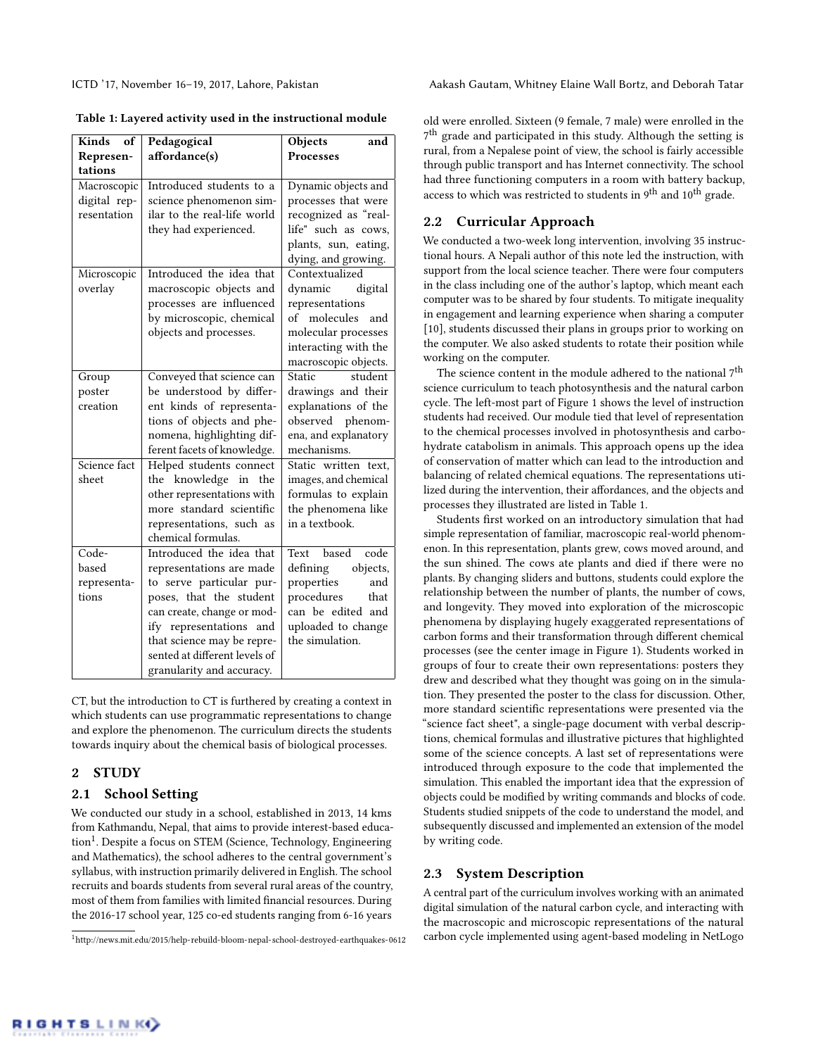ICTD '17, November 16–19, 2017, Lahore, Pakistan Aakash Gautam, Whitney Elaine Wall Bortz, and Deborah Tatar

<span id="page-1-0"></span>

| Kinds<br>оf  | Pedagogical                   | Objects<br>and       |
|--------------|-------------------------------|----------------------|
| Represen-    | affordance(s)                 | <b>Processes</b>     |
| tations      |                               |                      |
| Macroscopic  | Introduced students to a      | Dynamic objects and  |
| digital rep- | science phenomenon sim-       | processes that were  |
| resentation  | ilar to the real-life world   | recognized as "real- |
|              | they had experienced.         | life" such as cows,  |
|              |                               | plants, sun, eating, |
|              |                               | dying, and growing.  |
| Microscopic  | Introduced the idea that      | Contextualized       |
| overlay      | macroscopic objects and       | dynamic<br>digital   |
|              | processes are influenced      | representations      |
|              | by microscopic, chemical      | of molecules<br>and  |
|              | objects and processes.        | molecular processes  |
|              |                               | interacting with the |
|              |                               | macroscopic objects. |
| Group        | Conveyed that science can     | student<br>Static    |
| poster       | be understood by differ-      | drawings and their   |
| creation     | ent kinds of representa-      | explanations of the  |
|              | tions of objects and phe-     | observed<br>phenom-  |
|              | nomena, highlighting dif-     | ena, and explanatory |
|              | ferent facets of knowledge.   | mechanisms.          |
| Science fact | Helped students connect       | Static written text, |
| sheet        | the knowledge in the          | images, and chemical |
|              | other representations with    | formulas to explain  |
|              | more standard scientific      | the phenomena like   |
|              | representations, such as      | in a textbook.       |
|              | chemical formulas.            |                      |
| Code-        | Introduced the idea that      | code<br>Text based   |
| based        | representations are made      | defining<br>objects, |
| representa-  | to serve particular pur-      | properties<br>and    |
| tions        | poses, that the student       | procedures<br>that   |
|              | can create, change or mod-    | can be edited and    |
|              | ify representations and       | uploaded to change   |
|              | that science may be repre-    | the simulation.      |
|              | sented at different levels of |                      |
|              | granularity and accuracy.     |                      |

CT, but the introduction to CT is furthered by creating a context in which students can use programmatic representations to change and explore the phenomenon. The curriculum directs the students towards inquiry about the chemical basis of biological processes.

## 2 STUDY

## 2.1 School Setting

We conducted our study in a school, established in 2013, 14 kms from Kathmandu, Nepal, that aims to provide interest-based educa-tion<sup>[1](#page-1-1)</sup>. Despite a focus on STEM (Science, Technology, Engineering and Mathematics), the school adheres to the central government's syllabus, with instruction primarily delivered in English. The school recruits and boards students from several rural areas of the country, most of them from families with limited financial resources. During the 2016-17 school year, 125 co-ed students ranging from 6-16 years

old were enrolled. Sixteen (9 female, 7 male) were enrolled in the 7<sup>th</sup> grade and participated in this study. Although the setting is rural, from a Nepalese point of view, the school is fairly accessible through public transport and has Internet connectivity. The school had three functioning computers in a room with battery backup, access to which was restricted to students in 9<sup>th</sup> and 10<sup>th</sup> grade.

# 2.2 Curricular Approach

We conducted a two-week long intervention, involving 35 instructional hours. A Nepali author of this note led the instruction, with support from the local science teacher. There were four computers in the class including one of the author's laptop, which meant each computer was to be shared by four students. To mitigate inequality in engagement and learning experience when sharing a computer [\[10\]](#page-3-3), students discussed their plans in groups prior to working on the computer. We also asked students to rotate their position while working on the computer.

The science content in the module adhered to the national 7<sup>th</sup> science curriculum to teach photosynthesis and the natural carbon cycle. The left-most part of Figure 1 shows the level of instruction students had received. Our module tied that level of representation to the chemical processes involved in photosynthesis and carbohydrate catabolism in animals. This approach opens up the idea of conservation of matter which can lead to the introduction and balancing of related chemical equations. The representations utilized during the intervention, their affordances, and the objects and processes they illustrated are listed in Table [1.](#page-1-0)

Students first worked on an introductory simulation that had simple representation of familiar, macroscopic real-world phenomenon. In this representation, plants grew, cows moved around, and the sun shined. The cows ate plants and died if there were no plants. By changing sliders and buttons, students could explore the relationship between the number of plants, the number of cows, and longevity. They moved into exploration of the microscopic phenomena by displaying hugely exaggerated representations of carbon forms and their transformation through different chemical processes (see the center image in Figure [1\)](#page-2-0). Students worked in groups of four to create their own representations: posters they drew and described what they thought was going on in the simulation. They presented the poster to the class for discussion. Other, more standard scientific representations were presented via the "science fact sheet", a single-page document with verbal descriptions, chemical formulas and illustrative pictures that highlighted some of the science concepts. A last set of representations were introduced through exposure to the code that implemented the simulation. This enabled the important idea that the expression of objects could be modified by writing commands and blocks of code. Students studied snippets of the code to understand the model, and subsequently discussed and implemented an extension of the model by writing code.

# 2.3 System Description

A central part of the curriculum involves working with an animated digital simulation of the natural carbon cycle, and interacting with the macroscopic and microscopic representations of the natural carbon cycle implemented using agent-based modeling in NetLogo

<span id="page-1-1"></span><sup>1</sup><http://news.mit.edu/2015/help-rebuild-bloom-nepal-school-destroyed-earthquakes-0612>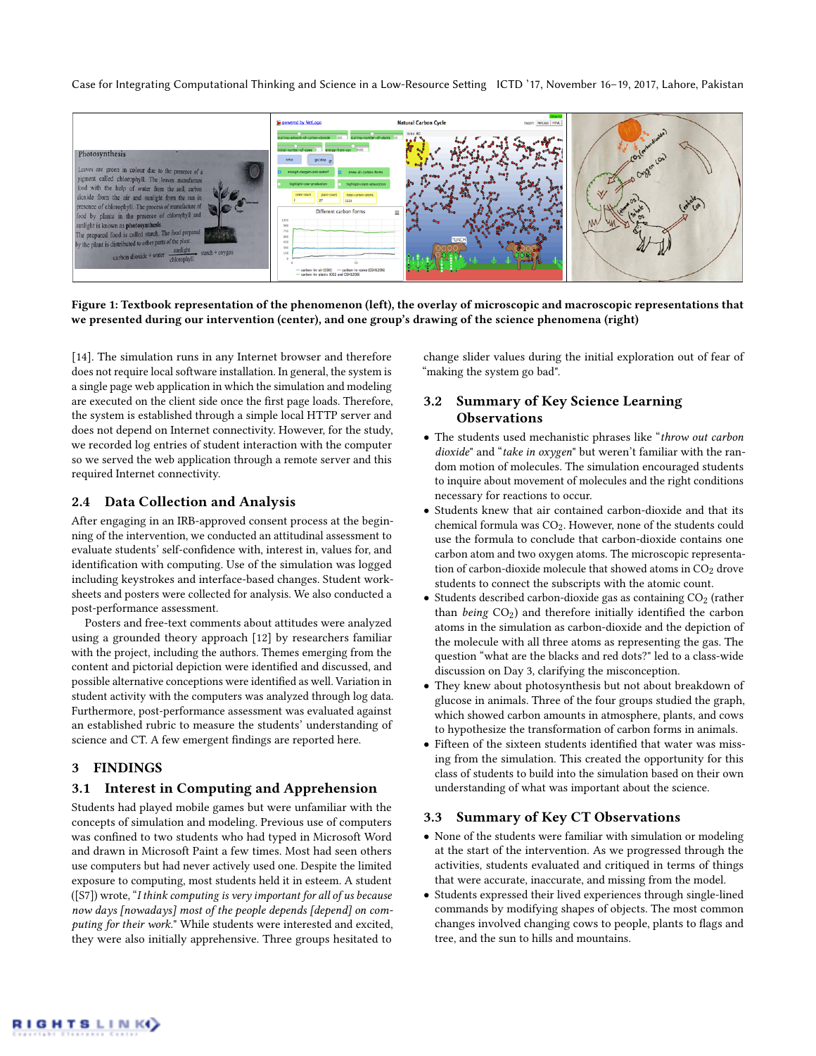Case for Integrating Computational Thinking and Science in a Low-Resource Setting ICTD '17, November 16–19, 2017, Lahore, Pakistan

<span id="page-2-0"></span>

Figure 1: Textbook representation of the phenomenon (left), the overlay of microscopic and macroscopic representations that we presented during our intervention (center), and one group's drawing of the science phenomena (right)

[\[14\]](#page-3-14). The simulation runs in any Internet browser and therefore does not require local software installation. In general, the system is a single page web application in which the simulation and modeling are executed on the client side once the first page loads. Therefore, the system is established through a simple local HTTP server and does not depend on Internet connectivity. However, for the study, we recorded log entries of student interaction with the computer so we served the web application through a remote server and this required Internet connectivity.

## 2.4 Data Collection and Analysis

After engaging in an IRB-approved consent process at the beginning of the intervention, we conducted an attitudinal assessment to evaluate students' self-confidence with, interest in, values for, and identification with computing. Use of the simulation was logged including keystrokes and interface-based changes. Student worksheets and posters were collected for analysis. We also conducted a post-performance assessment.

Posters and free-text comments about attitudes were analyzed using a grounded theory approach [\[12\]](#page-3-15) by researchers familiar with the project, including the authors. Themes emerging from the content and pictorial depiction were identified and discussed, and possible alternative conceptions were identified as well. Variation in student activity with the computers was analyzed through log data. Furthermore, post-performance assessment was evaluated against an established rubric to measure the students' understanding of science and CT. A few emergent findings are reported here.

#### 3 FINDINGS

## 3.1 Interest in Computing and Apprehension

Students had played mobile games but were unfamiliar with the concepts of simulation and modeling. Previous use of computers was confined to two students who had typed in Microsoft Word and drawn in Microsoft Paint a few times. Most had seen others use computers but had never actively used one. Despite the limited exposure to computing, most students held it in esteem. A student ([S7]) wrote, "I think computing is very important for all of us because now days [nowadays] most of the people depends [depend] on computing for their work." While students were interested and excited, they were also initially apprehensive. Three groups hesitated to

change slider values during the initial exploration out of fear of "making the system go bad".

# 3.2 Summary of Key Science Learning **Observations**

- The students used mechanistic phrases like "throw out carbon dioxide" and "take in oxygen" but weren't familiar with the random motion of molecules. The simulation encouraged students to inquire about movement of molecules and the right conditions necessary for reactions to occur.
- Students knew that air contained carbon-dioxide and that its chemical formula was CO2. However, none of the students could use the formula to conclude that carbon-dioxide contains one carbon atom and two oxygen atoms. The microscopic representation of carbon-dioxide molecule that showed atoms in  $CO<sub>2</sub>$  drove students to connect the subscripts with the atomic count.
- Students described carbon-dioxide gas as containing  $CO<sub>2</sub>$  (rather than being  $CO<sub>2</sub>$ ) and therefore initially identified the carbon atoms in the simulation as carbon-dioxide and the depiction of the molecule with all three atoms as representing the gas. The question "what are the blacks and red dots?" led to a class-wide discussion on Day 3, clarifying the misconception.
- They knew about photosynthesis but not about breakdown of glucose in animals. Three of the four groups studied the graph, which showed carbon amounts in atmosphere, plants, and cows to hypothesize the transformation of carbon forms in animals.
- Fifteen of the sixteen students identified that water was missing from the simulation. This created the opportunity for this class of students to build into the simulation based on their own understanding of what was important about the science.

#### 3.3 Summary of Key CT Observations

- None of the students were familiar with simulation or modeling at the start of the intervention. As we progressed through the activities, students evaluated and critiqued in terms of things that were accurate, inaccurate, and missing from the model.
- Students expressed their lived experiences through single-lined commands by modifying shapes of objects. The most common changes involved changing cows to people, plants to flags and tree, and the sun to hills and mountains.